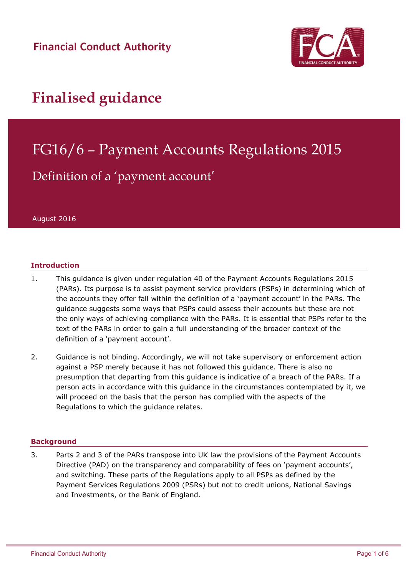**Financial Conduct Authority** 



## **Finalised guidance**

# FG16/6 – Payment Accounts Regulations 2015

### Definition of a 'payment account'

August 2016

#### **Introduction**

- 1. This guidance is given under regulation 40 of the Payment Accounts Regulations 2015 (PARs). Its purpose is to assist payment service providers (PSPs) in determining which of the accounts they offer fall within the definition of a 'payment account' in the PARs. The guidance suggests some ways that PSPs could assess their accounts but these are not the only ways of achieving compliance with the PARs. It is essential that PSPs refer to the text of the PARs in order to gain a full understanding of the broader context of the definition of a 'payment account'.
- 2. Guidance is not binding. Accordingly, we will not take supervisory or enforcement action against a PSP merely because it has not followed this guidance. There is also no presumption that departing from this guidance is indicative of a breach of the PARs. If a person acts in accordance with this guidance in the circumstances contemplated by it, we will proceed on the basis that the person has complied with the aspects of the Regulations to which the guidance relates.

#### **Background**

3. Parts 2 and 3 of the PARs transpose into UK law the provisions of the Payment Accounts Directive (PAD) on the transparency and comparability of fees on 'payment accounts', and switching. These parts of the Regulations apply to all PSPs as defined by the Payment Services Regulations 2009 (PSRs) but not to credit unions, National Savings and Investments, or the Bank of England.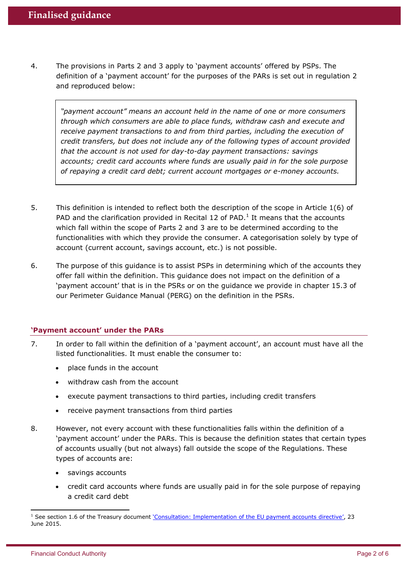4. The provisions in Parts 2 and 3 apply to 'payment accounts' offered by PSPs. The definition of a 'payment account' for the purposes of the PARs is set out in regulation 2 and reproduced below:

*"payment account" means an account held in the name of one or more consumers through which consumers are able to place funds, withdraw cash and execute and receive payment transactions to and from third parties, including the execution of credit transfers, but does not include any of the following types of account provided that the account is not used for day-to-day payment transactions: savings accounts; credit card accounts where funds are usually paid in for the sole purpose of repaying a credit card debt; current account mortgages or e-money accounts.*

- 5. This definition is intended to reflect both the description of the scope in Article 1(6) of PAD and the clarification provided in Recital 12 of PAD. $<sup>1</sup>$  It means that the accounts</sup> which fall within the scope of Parts 2 and 3 are to be determined according to the functionalities with which they provide the consumer. A categorisation solely by type of account (current account, savings account, etc.) is not possible.
- 6. The purpose of this guidance is to assist PSPs in determining which of the accounts they offer fall within the definition. This guidance does not impact on the definition of a 'payment account' that is in the PSRs or on the guidance we provide in chapter 15.3 of our Perimeter Guidance Manual (PERG) on the definition in the PSRs.

#### **'Payment account' under the PARs**

- 7. In order to fall within the definition of a 'payment account', an account must have all the listed functionalities. It must enable the consumer to:
	- place funds in the account
	- withdraw cash from the account
	- execute payment transactions to third parties, including credit transfers
	- receive payment transactions from third parties
- 8. However, not every account with these functionalities falls within the definition of a 'payment account' under the PARs. This is because the definition states that certain types of accounts usually (but not always) fall outside the scope of the Regulations. These types of accounts are:
	- savings accounts
	- credit card accounts where funds are usually paid in for the sole purpose of repaying a credit card debt

1

<sup>&</sup>lt;sup>1</sup> See section 1.6 of the Treasury document *['Consultation: Implementation of the EU payment accounts directive'](https://www.gov.uk/government/consultations/implementation-of-the-eu-payments-accounts-directive/implementation-of-the-eu-payment-accounts-directive)*, 23 June 2015.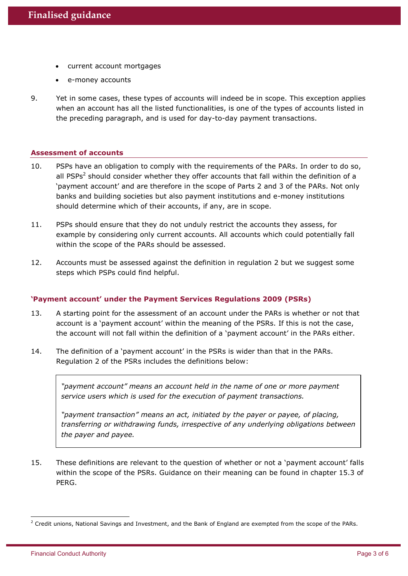- current account mortgages
- e-money accounts
- 9. Yet in some cases, these types of accounts will indeed be in scope. This exception applies when an account has all the listed functionalities, is one of the types of accounts listed in the preceding paragraph, and is used for day-to-day payment transactions.

#### **Assessment of accounts**

- 10. PSPs have an obligation to comply with the requirements of the PARs. In order to do so, all PSPs<sup>2</sup> should consider whether they offer accounts that fall within the definition of a 'payment account' and are therefore in the scope of Parts 2 and 3 of the PARs. Not only banks and building societies but also payment institutions and e-money institutions should determine which of their accounts, if any, are in scope.
- 11. PSPs should ensure that they do not unduly restrict the accounts they assess, for example by considering only current accounts. All accounts which could potentially fall within the scope of the PARs should be assessed.
- 12. Accounts must be assessed against the definition in regulation 2 but we suggest some steps which PSPs could find helpful.

#### **'Payment account' under the Payment Services Regulations 2009 (PSRs)**

- 13. A starting point for the assessment of an account under the PARs is whether or not that account is a 'payment account' within the meaning of the PSRs. If this is not the case, the account will not fall within the definition of a 'payment account' in the PARs either.
- 14. The definition of a 'payment account' in the PSRs is wider than that in the PARs. Regulation 2 of the PSRs includes the definitions below:

*"payment account" means an account held in the name of one or more payment service users which is used for the execution of payment transactions.*

*"payment transaction" means an act, initiated by the payer or payee, of placing, transferring or withdrawing funds, irrespective of any underlying obligations between the payer and payee.*

15. These definitions are relevant to the question of whether or not a 'payment account' falls within the scope of the PSRs. Guidance on their meaning can be found in chapter 15.3 of PERG.

1

<sup>&</sup>lt;sup>2</sup> Credit unions, National Savings and Investment, and the Bank of England are exempted from the scope of the PARs.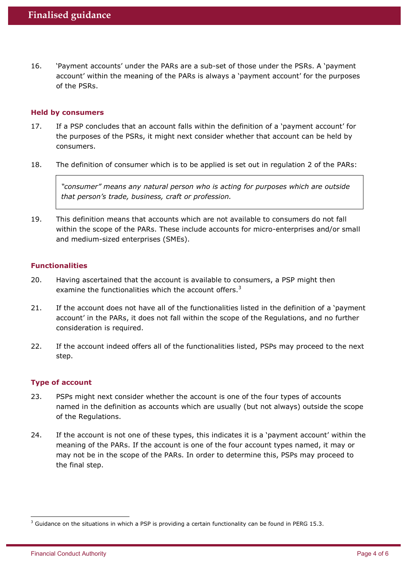16. 'Payment accounts' under the PARs are a sub-set of those under the PSRs. A 'payment account' within the meaning of the PARs is always a 'payment account' for the purposes of the PSRs.

#### **Held by consumers**

- 17. If a PSP concludes that an account falls within the definition of a 'payment account' for the purposes of the PSRs, it might next consider whether that account can be held by consumers.
- 18. The definition of consumer which is to be applied is set out in regulation 2 of the PARs:

*"consumer" means any natural person who is acting for purposes which are outside that person's trade, business, craft or profession.* 

19. This definition means that accounts which are not available to consumers do not fall within the scope of the PARs. These include accounts for micro-enterprises and/or small and medium-sized enterprises (SMEs).

#### **Functionalities**

- 20. Having ascertained that the account is available to consumers, a PSP might then examine the functionalities which the account offers. $3$
- 21. If the account does not have all of the functionalities listed in the definition of a 'payment account' in the PARs, it does not fall within the scope of the Regulations, and no further consideration is required.
- 22. If the account indeed offers all of the functionalities listed, PSPs may proceed to the next step.

#### **Type of account**

- 23. PSPs might next consider whether the account is one of the four types of accounts named in the definition as accounts which are usually (but not always) outside the scope of the Regulations.
- 24. If the account is not one of these types, this indicates it is a 'payment account' within the meaning of the PARs. If the account is one of the four account types named, it may or may not be in the scope of the PARs. In order to determine this, PSPs may proceed to the final step.

1

<sup>&</sup>lt;sup>3</sup> Guidance on the situations in which a PSP is providing a certain functionality can be found in PERG 15.3.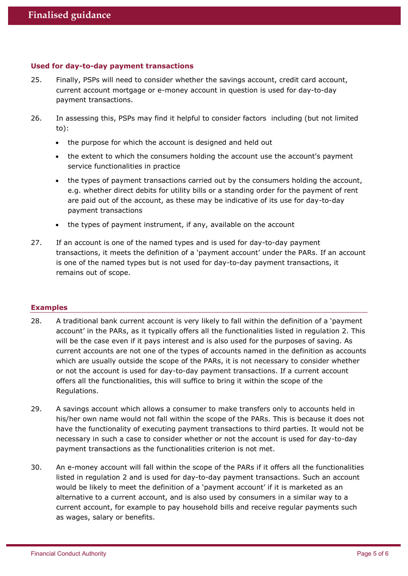#### **Used for day-to-day payment transactions**

- 25. Finally, PSPs will need to consider whether the savings account, credit card account, current account mortgage or e-money account in question is used for day-to-day payment transactions.
- 26. In assessing this, PSPs may find it helpful to consider factors including (but not limited to):
	- the purpose for which the account is designed and held out
	- the extent to which the consumers holding the account use the account's payment service functionalities in practice
	- the types of payment transactions carried out by the consumers holding the account, e.g. whether direct debits for utility bills or a standing order for the payment of rent are paid out of the account, as these may be indicative of its use for day-to-day payment transactions
	- the types of payment instrument, if any, available on the account
- 27. If an account is one of the named types and is used for day-to-day payment transactions, it meets the definition of a 'payment account' under the PARs. If an account is one of the named types but is not used for day-to-day payment transactions, it remains out of scope.

#### **Examples**

- 28. A traditional bank current account is very likely to fall within the definition of a 'payment account' in the PARs, as it typically offers all the functionalities listed in regulation 2. This will be the case even if it pays interest and is also used for the purposes of saving. As current accounts are not one of the types of accounts named in the definition as accounts which are usually outside the scope of the PARs, it is not necessary to consider whether or not the account is used for day-to-day payment transactions. If a current account offers all the functionalities, this will suffice to bring it within the scope of the Regulations.
- 29. A savings account which allows a consumer to make transfers only to accounts held in his/her own name would not fall within the scope of the PARs. This is because it does not have the functionality of executing payment transactions to third parties. It would not be necessary in such a case to consider whether or not the account is used for day-to-day payment transactions as the functionalities criterion is not met.
- 30. An e-money account will fall within the scope of the PARs if it offers all the functionalities listed in regulation 2 and is used for day-to-day payment transactions. Such an account would be likely to meet the definition of a 'payment account' if it is marketed as an alternative to a current account, and is also used by consumers in a similar way to a current account, for example to pay household bills and receive regular payments such as wages, salary or benefits.